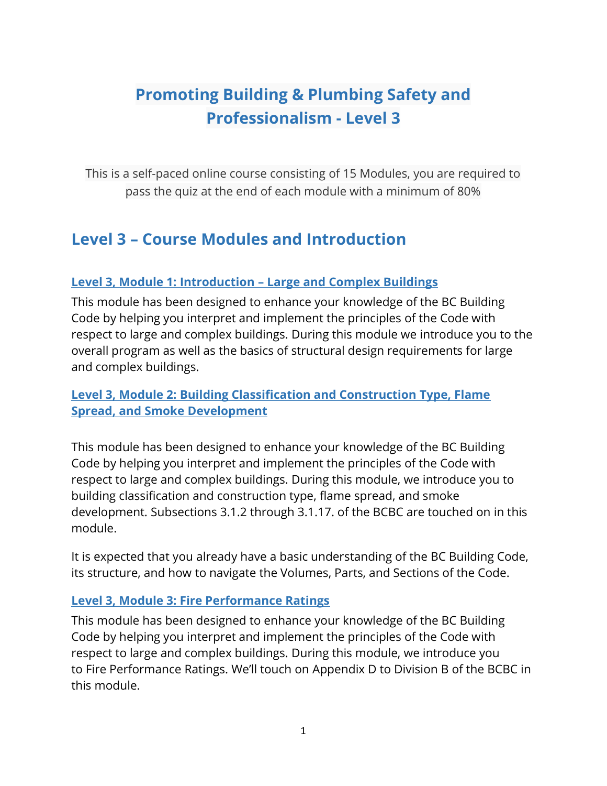# Promoting Building & Plumbing Safety and Professionalism - Level 3

This is a self-paced online course consisting of 15 Modules, you are required to pass the quiz at the end of each module with a minimum of 80%

# Level 3 – Course Modules and Introduction

# Level 3, Module 1: Introduction – Large and Complex Buildings

This module has been designed to enhance your knowledge of the BC Building Code by helping you interpret and implement the principles of the Code with respect to large and complex buildings. During this module we introduce you to the overall program as well as the basics of structural design requirements for large and complex buildings.

# Level 3, Module 2: Building Classification and Construction Type, Flame Spread, and Smoke Development

This module has been designed to enhance your knowledge of the BC Building Code by helping you interpret and implement the principles of the Code with respect to large and complex buildings. During this module, we introduce you to building classification and construction type, flame spread, and smoke development. Subsections 3.1.2 through 3.1.17. of the BCBC are touched on in this module.

It is expected that you already have a basic understanding of the BC Building Code, its structure, and how to navigate the Volumes, Parts, and Sections of the Code.

### Level 3, Module 3: Fire Performance Ratings

This module has been designed to enhance your knowledge of the BC Building Code by helping you interpret and implement the principles of the Code with respect to large and complex buildings. During this module, we introduce you to Fire Performance Ratings. We'll touch on Appendix D to Division B of the BCBC in this module.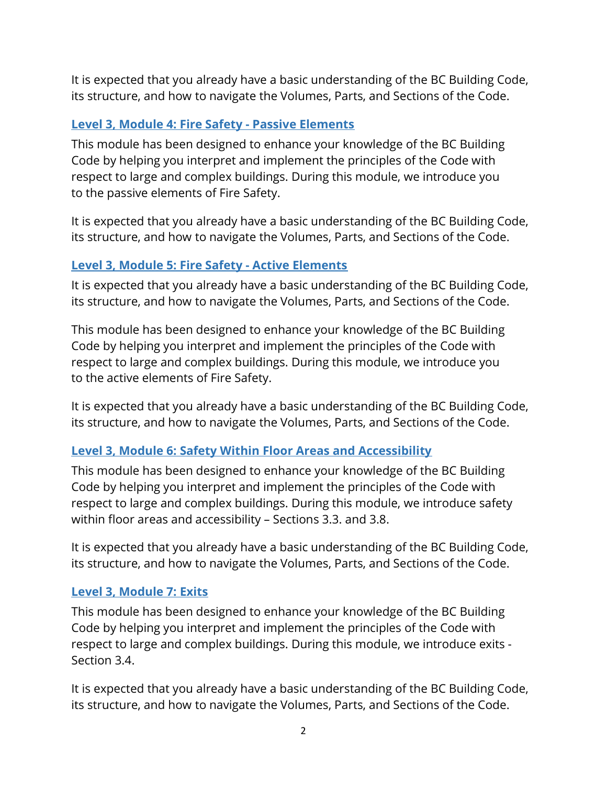It is expected that you already have a basic understanding of the BC Building Code, its structure, and how to navigate the Volumes, Parts, and Sections of the Code.

# Level 3, Module 4: Fire Safety - Passive Elements

This module has been designed to enhance your knowledge of the BC Building Code by helping you interpret and implement the principles of the Code with respect to large and complex buildings. During this module, we introduce you to the passive elements of Fire Safety.

It is expected that you already have a basic understanding of the BC Building Code, its structure, and how to navigate the Volumes, Parts, and Sections of the Code.

# Level 3, Module 5: Fire Safety - Active Elements

It is expected that you already have a basic understanding of the BC Building Code, its structure, and how to navigate the Volumes, Parts, and Sections of the Code.

This module has been designed to enhance your knowledge of the BC Building Code by helping you interpret and implement the principles of the Code with respect to large and complex buildings. During this module, we introduce you to the active elements of Fire Safety.

It is expected that you already have a basic understanding of the BC Building Code, its structure, and how to navigate the Volumes, Parts, and Sections of the Code.

### Level 3, Module 6: Safety Within Floor Areas and Accessibility

This module has been designed to enhance your knowledge of the BC Building Code by helping you interpret and implement the principles of the Code with respect to large and complex buildings. During this module, we introduce safety within floor areas and accessibility – Sections 3.3. and 3.8.

It is expected that you already have a basic understanding of the BC Building Code, its structure, and how to navigate the Volumes, Parts, and Sections of the Code.

### Level 3, Module 7: Exits

This module has been designed to enhance your knowledge of the BC Building Code by helping you interpret and implement the principles of the Code with respect to large and complex buildings. During this module, we introduce exits - Section 3.4.

It is expected that you already have a basic understanding of the BC Building Code, its structure, and how to navigate the Volumes, Parts, and Sections of the Code.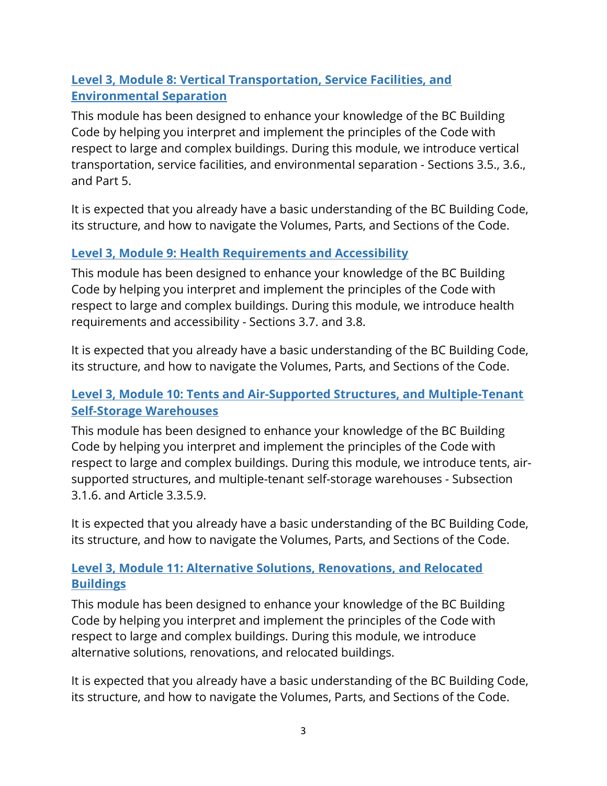# Level 3, Module 8: Vertical Transportation, Service Facilities, and Environmental Separation

This module has been designed to enhance your knowledge of the BC Building Code by helping you interpret and implement the principles of the Code with respect to large and complex buildings. During this module, we introduce vertical transportation, service facilities, and environmental separation - Sections 3.5., 3.6., and Part 5.

It is expected that you already have a basic understanding of the BC Building Code, its structure, and how to navigate the Volumes, Parts, and Sections of the Code.

### Level 3, Module 9: Health Requirements and Accessibility

This module has been designed to enhance your knowledge of the BC Building Code by helping you interpret and implement the principles of the Code with respect to large and complex buildings. During this module, we introduce health requirements and accessibility - Sections 3.7. and 3.8.

It is expected that you already have a basic understanding of the BC Building Code, its structure, and how to navigate the Volumes, Parts, and Sections of the Code.

# Level 3, Module 10: Tents and Air-Supported Structures, and Multiple-Tenant Self-Storage Warehouses

This module has been designed to enhance your knowledge of the BC Building Code by helping you interpret and implement the principles of the Code with respect to large and complex buildings. During this module, we introduce tents, airsupported structures, and multiple-tenant self-storage warehouses - Subsection 3.1.6. and Article 3.3.5.9.

It is expected that you already have a basic understanding of the BC Building Code, its structure, and how to navigate the Volumes, Parts, and Sections of the Code.

# Level 3, Module 11: Alternative Solutions, Renovations, and Relocated **Buildings**

This module has been designed to enhance your knowledge of the BC Building Code by helping you interpret and implement the principles of the Code with respect to large and complex buildings. During this module, we introduce alternative solutions, renovations, and relocated buildings.

It is expected that you already have a basic understanding of the BC Building Code, its structure, and how to navigate the Volumes, Parts, and Sections of the Code.